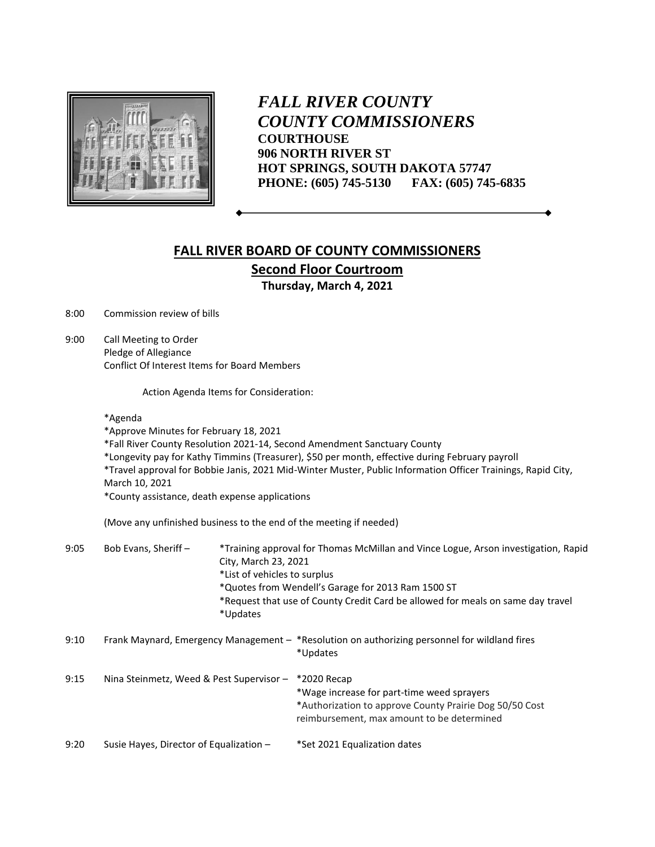

*FALL RIVER COUNTY COUNTY COMMISSIONERS* **COURTHOUSE 906 NORTH RIVER ST HOT SPRINGS, SOUTH DAKOTA 57747 PHONE: (605) 745-5130 FAX: (605) 745-6835**

## **FALL RIVER BOARD OF COUNTY COMMISSIONERS Second Floor Courtroom Thursday, March 4, 2021**

8:00 Commission review of bills

9:00 Call Meeting to Order Pledge of Allegiance Conflict Of Interest Items for Board Members

Action Agenda Items for Consideration:

## \*Agenda

\*Approve Minutes for February 18, 2021

- \*Fall River County Resolution 2021-14, Second Amendment Sanctuary County
- \*Longevity pay for Kathy Timmins (Treasurer), \$50 per month, effective during February payroll
- \*Travel approval for Bobbie Janis, 2021 Mid-Winter Muster, Public Information Officer Trainings, Rapid City, March 10, 2021

\*County assistance, death expense applications

(Move any unfinished business to the end of the meeting if needed)

| 9:05 | Bob Evans, Sheriff-                                                                                       | *Updates | *Training approval for Thomas McMillan and Vince Logue, Arson investigation, Rapid<br>City, March 23, 2021<br>*List of vehicles to surplus<br>*Quotes from Wendell's Garage for 2013 Ram 1500 ST<br>*Request that use of County Credit Card be allowed for meals on same day travel |  |  |  |  |
|------|-----------------------------------------------------------------------------------------------------------|----------|-------------------------------------------------------------------------------------------------------------------------------------------------------------------------------------------------------------------------------------------------------------------------------------|--|--|--|--|
| 9:10 | Frank Maynard, Emergency Management - *Resolution on authorizing personnel for wildland fires<br>*Updates |          |                                                                                                                                                                                                                                                                                     |  |  |  |  |
| 9:15 | Nina Steinmetz, Weed & Pest Supervisor -                                                                  |          | *2020 Recap<br>*Wage increase for part-time weed sprayers<br>*Authorization to approve County Prairie Dog 50/50 Cost<br>reimbursement, max amount to be determined                                                                                                                  |  |  |  |  |
| 9:20 | Susie Hayes, Director of Equalization -                                                                   |          | *Set 2021 Equalization dates                                                                                                                                                                                                                                                        |  |  |  |  |